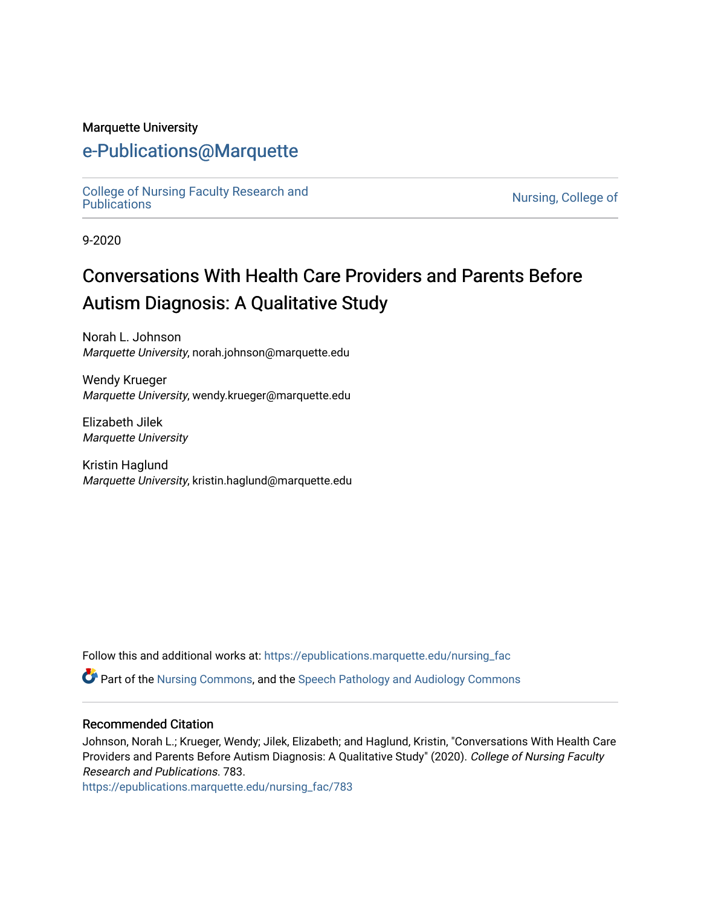#### Marquette University

# [e-Publications@Marquette](https://epublications.marquette.edu/)

[College of Nursing Faculty Research and](https://epublications.marquette.edu/nursing_fac)<br>Publications

Nursing, College of

9-2020

# Conversations With Health Care Providers and Parents Before Autism Diagnosis: A Qualitative Study

Norah L. Johnson Marquette University, norah.johnson@marquette.edu

Wendy Krueger Marquette University, wendy.krueger@marquette.edu

Elizabeth Jilek Marquette University

Kristin Haglund Marquette University, kristin.haglund@marquette.edu

Follow this and additional works at: [https://epublications.marquette.edu/nursing\\_fac](https://epublications.marquette.edu/nursing_fac?utm_source=epublications.marquette.edu%2Fnursing_fac%2F783&utm_medium=PDF&utm_campaign=PDFCoverPages)

Part of the [Nursing Commons,](http://network.bepress.com/hgg/discipline/718?utm_source=epublications.marquette.edu%2Fnursing_fac%2F783&utm_medium=PDF&utm_campaign=PDFCoverPages) and the [Speech Pathology and Audiology Commons](http://network.bepress.com/hgg/discipline/1035?utm_source=epublications.marquette.edu%2Fnursing_fac%2F783&utm_medium=PDF&utm_campaign=PDFCoverPages) 

#### Recommended Citation

Johnson, Norah L.; Krueger, Wendy; Jilek, Elizabeth; and Haglund, Kristin, "Conversations With Health Care Providers and Parents Before Autism Diagnosis: A Qualitative Study" (2020). College of Nursing Faculty Research and Publications. 783.

[https://epublications.marquette.edu/nursing\\_fac/783](https://epublications.marquette.edu/nursing_fac/783?utm_source=epublications.marquette.edu%2Fnursing_fac%2F783&utm_medium=PDF&utm_campaign=PDFCoverPages)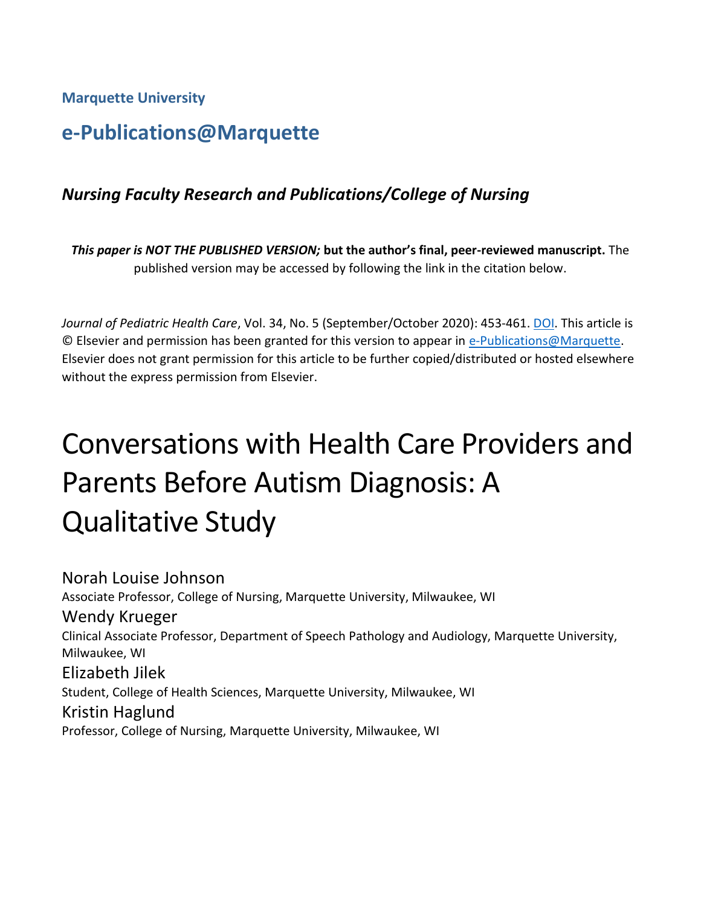**Marquette University**

# **e-Publications@Marquette**

# *Nursing Faculty Research and Publications/College of Nursing*

*This paper is NOT THE PUBLISHED VERSION;* **but the author's final, peer-reviewed manuscript.** The published version may be accessed by following the link in the citation below.

*Journal of Pediatric Health Care*, Vol. 34, No. 5 (September/October 2020): 453-461. [DOI.](https://doi.org/10.1016/j.pedhc.2020.05.002) This article is © Elsevier and permission has been granted for this version to appear in [e-Publications@Marquette.](http://epublications.marquette.edu/) Elsevier does not grant permission for this article to be further copied/distributed or hosted elsewhere without the express permission from Elsevier.

# Conversations with Health Care Providers and Parents Before Autism Diagnosis: A Qualitative Study

Norah Louise Johnson Associate Professor, College of Nursing, Marquette University, Milwaukee, WI Wendy Krueger Clinical Associate Professor, Department of Speech Pathology and Audiology, Marquette University, Milwaukee, WI Elizabeth Jilek Student, College of Health Sciences, Marquette University, Milwaukee, WI Kristin Haglund Professor, College of Nursing, Marquette University, Milwaukee, WI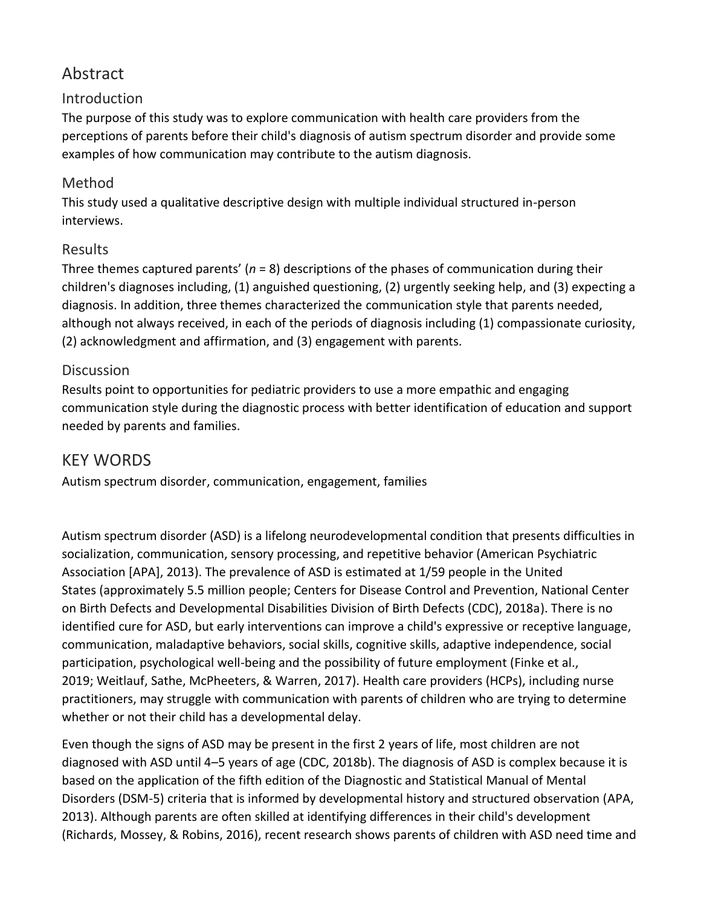# Abstract

## Introduction

The purpose of this study was to explore communication with health care providers from the perceptions of parents before their child's diagnosis of autism spectrum disorder and provide some examples of how communication may contribute to the autism diagnosis.

#### Method

This study used a qualitative descriptive design with multiple individual structured in-person interviews.

#### Results

Three themes captured parents' (*n* = 8) descriptions of the phases of communication during their children's diagnoses including, (1) anguished questioning, (2) urgently seeking help, and (3) expecting a diagnosis. In addition, three themes characterized the communication style that parents needed, although not always received, in each of the periods of diagnosis including (1) compassionate curiosity, (2) acknowledgment and affirmation, and (3) engagement with parents.

#### **Discussion**

Results point to opportunities for pediatric providers to use a more empathic and engaging communication style during the diagnostic process with better identification of education and support needed by parents and families.

# KEY WORDS

Autism spectrum disorder, communication, engagement, families

Autism spectrum disorder (ASD) is a lifelong neurodevelopmental condition that presents difficulties in socialization, communication, sensory processing, and repetitive behavior (American Psychiatric Association [APA], 2013). The prevalence of ASD is estimated at 1/59 people in the United States (approximately 5.5 million people; Centers for Disease Control and Prevention, National Center on Birth Defects and Developmental Disabilities Division of Birth Defects (CDC), 2018a). There is no identified cure for ASD, but early interventions can improve a child's expressive or receptive language, communication, maladaptive behaviors, social skills, cognitive skills, adaptive independence, social participation, psychological well-being and the possibility of future employment (Finke et al., 2019; Weitlauf, Sathe, McPheeters, & Warren, 2017). Health care providers (HCPs), including nurse practitioners, may struggle with communication with parents of children who are trying to determine whether or not their child has a developmental delay.

Even though the signs of ASD may be present in the first 2 years of life, most children are not diagnosed with ASD until 4–5 years of age (CDC, 2018b). The diagnosis of ASD is complex because it is based on the application of the fifth edition of the Diagnostic and Statistical Manual of Mental Disorders (DSM-5) criteria that is informed by developmental history and structured observation (APA, 2013). Although parents are often skilled at identifying differences in their child's development (Richards, Mossey, & Robins, 2016), recent research shows parents of children with ASD need time and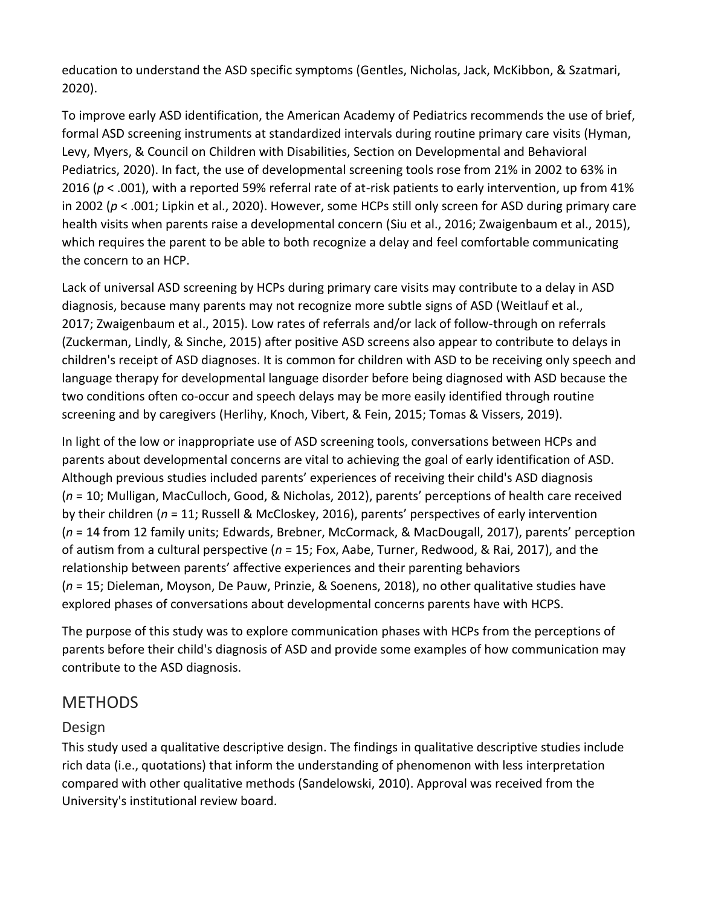education to understand the ASD specific symptoms (Gentles, Nicholas, Jack, McKibbon, & Szatmari, 2020).

To improve early ASD identification, the American Academy of Pediatrics recommends the use of brief, formal ASD screening instruments at standardized intervals during routine primary care visits (Hyman, Levy, Myers, & Council on Children with Disabilities, Section on Developmental and Behavioral Pediatrics, 2020). In fact, the use of developmental screening tools rose from 21% in 2002 to 63% in 2016 (*p* < .001), with a reported 59% referral rate of at-risk patients to early intervention, up from 41% in 2002 (*p* < .001; Lipkin et al., 2020). However, some HCPs still only screen for ASD during primary care health visits when parents raise a developmental concern (Siu et al., 2016; Zwaigenbaum et al., 2015), which requires the parent to be able to both recognize a delay and feel comfortable communicating the concern to an HCP.

Lack of universal ASD screening by HCPs during primary care visits may contribute to a delay in ASD diagnosis, because many parents may not recognize more subtle signs of ASD (Weitlauf et al., 2017; Zwaigenbaum et al., 2015). Low rates of referrals and/or lack of follow-through on referrals (Zuckerman, Lindly, & Sinche, 2015) after positive ASD screens also appear to contribute to delays in children's receipt of ASD diagnoses. It is common for children with ASD to be receiving only speech and language therapy for developmental language disorder before being diagnosed with ASD because the two conditions often co-occur and speech delays may be more easily identified through routine screening and by caregivers (Herlihy, Knoch, Vibert, & Fein, 2015; Tomas & Vissers, 2019).

In light of the low or inappropriate use of ASD screening tools, conversations between HCPs and parents about developmental concerns are vital to achieving the goal of early identification of ASD. Although previous studies included parents' experiences of receiving their child's ASD diagnosis (*n* = 10; Mulligan, MacCulloch, Good, & Nicholas, 2012), parents' perceptions of health care received by their children (*n* = 11; Russell & McCloskey, 2016), parents' perspectives of early intervention (*n* = 14 from 12 family units; Edwards, Brebner, McCormack, & MacDougall, 2017), parents' perception of autism from a cultural perspective (*n* = 15; Fox, Aabe, Turner, Redwood, & Rai, 2017), and the relationship between parents' affective experiences and their parenting behaviors (*n* = 15; Dieleman, Moyson, De Pauw, Prinzie, & Soenens, 2018), no other qualitative studies have explored phases of conversations about developmental concerns parents have with HCPS.

The purpose of this study was to explore communication phases with HCPs from the perceptions of parents before their child's diagnosis of ASD and provide some examples of how communication may contribute to the ASD diagnosis.

# METHODS

## Design

This study used a qualitative descriptive design. The findings in qualitative descriptive studies include rich data (i.e., quotations) that inform the understanding of phenomenon with less interpretation compared with other qualitative methods (Sandelowski, 2010). Approval was received from the University's institutional review board.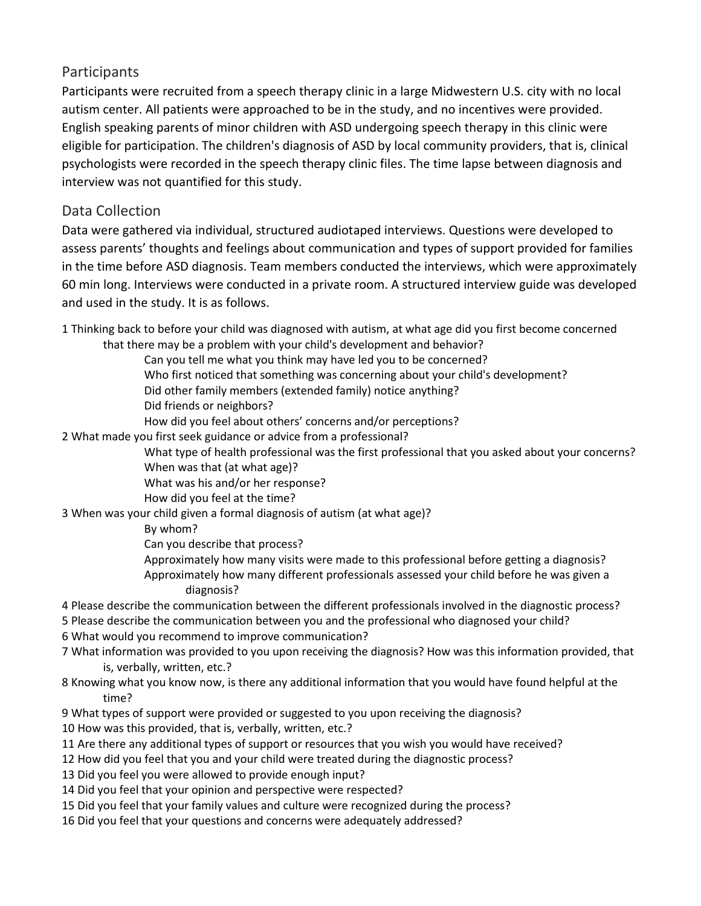#### Participants

Participants were recruited from a speech therapy clinic in a large Midwestern U.S. city with no local autism center. All patients were approached to be in the study, and no incentives were provided. English speaking parents of minor children with ASD undergoing speech therapy in this clinic were eligible for participation. The children's diagnosis of ASD by local community providers, that is, clinical psychologists were recorded in the speech therapy clinic files. The time lapse between diagnosis and interview was not quantified for this study.

#### Data Collection

Data were gathered via individual, structured audiotaped interviews. Questions were developed to assess parents' thoughts and feelings about communication and types of support provided for families in the time before ASD diagnosis. Team members conducted the interviews, which were approximately 60 min long. Interviews were conducted in a private room. A structured interview guide was developed and used in the study. It is as follows.

1 Thinking back to before your child was diagnosed with autism, at what age did you first become concerned that there may be a problem with your child's development and behavior?

Can you tell me what you think may have led you to be concerned?

Who first noticed that something was concerning about your child's development?

Did other family members (extended family) notice anything?

Did friends or neighbors?

How did you feel about others' concerns and/or perceptions?

2 What made you first seek guidance or advice from a professional?

What type of health professional was the first professional that you asked about your concerns? When was that (at what age)?

What was his and/or her response?

How did you feel at the time?

3 When was your child given a formal diagnosis of autism (at what age)?

By whom?

Can you describe that process?

Approximately how many visits were made to this professional before getting a diagnosis? Approximately how many different professionals assessed your child before he was given a diagnosis?

4 Please describe the communication between the different professionals involved in the diagnostic process?

5 Please describe the communication between you and the professional who diagnosed your child?

6 What would you recommend to improve communication?

- 7 What information was provided to you upon receiving the diagnosis? How was this information provided, that is, verbally, written, etc.?
- 8 Knowing what you know now, is there any additional information that you would have found helpful at the time?
- 9 What types of support were provided or suggested to you upon receiving the diagnosis?
- 10 How was this provided, that is, verbally, written, etc.?
- 11 Are there any additional types of support or resources that you wish you would have received?
- 12 How did you feel that you and your child were treated during the diagnostic process?
- 13 Did you feel you were allowed to provide enough input?
- 14 Did you feel that your opinion and perspective were respected?
- 15 Did you feel that your family values and culture were recognized during the process?
- 16 Did you feel that your questions and concerns were adequately addressed?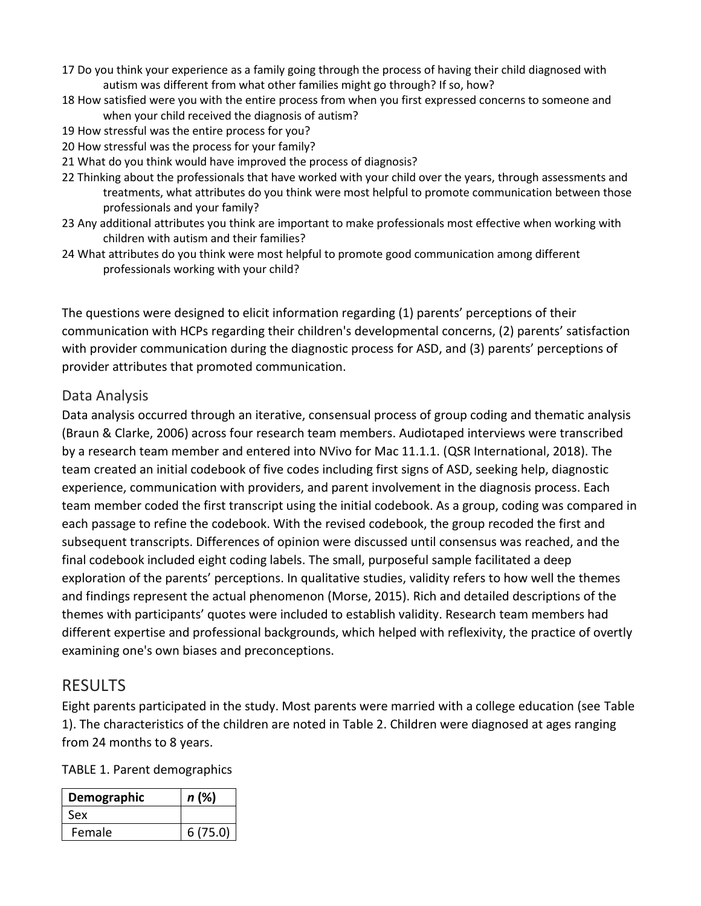- 17 Do you think your experience as a family going through the process of having their child diagnosed with autism was different from what other families might go through? If so, how?
- 18 How satisfied were you with the entire process from when you first expressed concerns to someone and when your child received the diagnosis of autism?
- 19 How stressful was the entire process for you?
- 20 How stressful was the process for your family?
- 21 What do you think would have improved the process of diagnosis?
- 22 Thinking about the professionals that have worked with your child over the years, through assessments and treatments, what attributes do you think were most helpful to promote communication between those professionals and your family?
- 23 Any additional attributes you think are important to make professionals most effective when working with children with autism and their families?
- 24 What attributes do you think were most helpful to promote good communication among different professionals working with your child?

The questions were designed to elicit information regarding (1) parents' perceptions of their communication with HCPs regarding their children's developmental concerns, (2) parents' satisfaction with provider communication during the diagnostic process for ASD, and (3) parents' perceptions of provider attributes that promoted communication.

#### Data Analysis

Data analysis occurred through an iterative, consensual process of group coding and thematic analysis (Braun & Clarke, 2006) across four research team members. Audiotaped interviews were transcribed by a research team member and entered into NVivo for Mac 11.1.1. (QSR International, 2018). The team created an initial codebook of five codes including first signs of ASD, seeking help, diagnostic experience, communication with providers, and parent involvement in the diagnosis process. Each team member coded the first transcript using the initial codebook. As a group, coding was compared in each passage to refine the codebook. With the revised codebook, the group recoded the first and subsequent transcripts. Differences of opinion were discussed until consensus was reached, and the final codebook included eight coding labels. The small, purposeful sample facilitated a deep exploration of the parents' perceptions. In qualitative studies, validity refers to how well the themes and findings represent the actual phenomenon (Morse, 2015). Rich and detailed descriptions of the themes with participants' quotes were included to establish validity. Research team members had different expertise and professional backgrounds, which helped with reflexivity, the practice of overtly examining one's own biases and preconceptions.

# **RESULTS**

Eight parents participated in the study. Most parents were married with a college education (see Table 1). The characteristics of the children are noted in Table 2. Children were diagnosed at ages ranging from 24 months to 8 years.

TABLE 1. Parent demographics

| Demographic | n (%)   |
|-------------|---------|
| Sex         |         |
| Female      | 6(75.0) |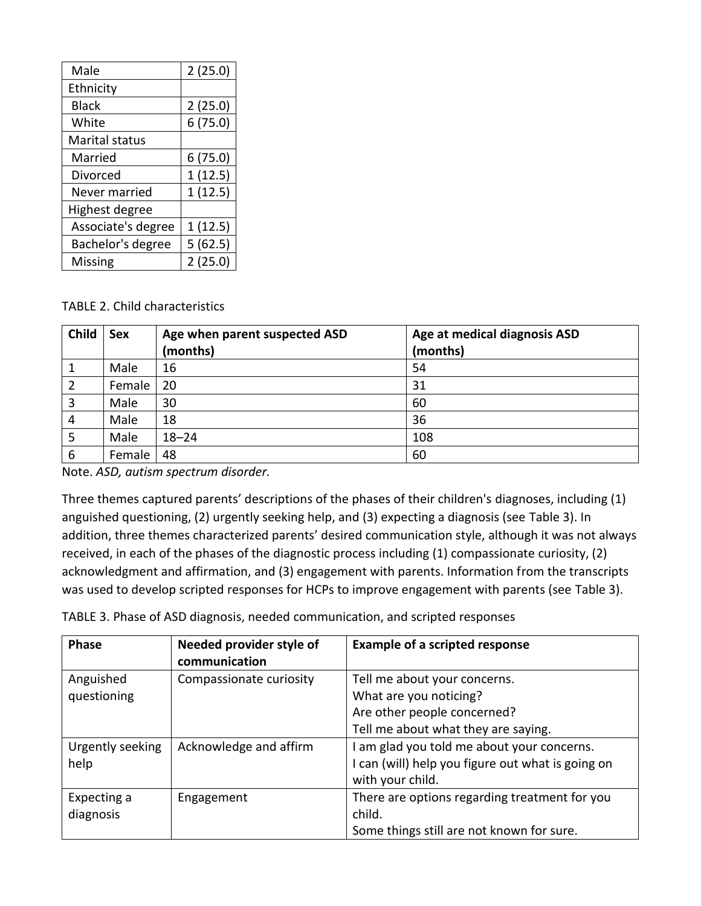| Male                  | 2(25.0) |
|-----------------------|---------|
| Ethnicity             |         |
| <b>Black</b>          | 2(25.0) |
| White                 | 6(75.0) |
| <b>Marital status</b> |         |
| Married               | 6(75.0) |
| Divorced              | 1(12.5) |
| Never married         | 1(12.5) |
| Highest degree        |         |
| Associate's degree    | 1(12.5) |
| Bachelor's degree     | 5(62.5) |
| Missing               | 2(25.0) |

TABLE 2. Child characteristics

| Child | Sex    | Age when parent suspected ASD<br>(months) | Age at medical diagnosis ASD<br>(months) |
|-------|--------|-------------------------------------------|------------------------------------------|
|       |        |                                           |                                          |
|       | Male   | 16                                        | 54                                       |
| 2     | Female | 20                                        | 31                                       |
| 3     | Male   | 30                                        | 60                                       |
| 4     | Male   | 18                                        | 36                                       |
| 5     | Male   | $18 - 24$                                 | 108                                      |
| 6     | Female | 48                                        | 60                                       |

Note. *ASD, autism spectrum disorder.*

Three themes captured parents' descriptions of the phases of their children's diagnoses, including (1) anguished questioning, (2) urgently seeking help, and (3) expecting a diagnosis (see Table 3). In addition, three themes characterized parents' desired communication style, although it was not always received, in each of the phases of the diagnostic process including (1) compassionate curiosity, (2) acknowledgment and affirmation, and (3) engagement with parents. Information from the transcripts was used to develop scripted responses for HCPs to improve engagement with parents (see Table 3).

TABLE 3. Phase of ASD diagnosis, needed communication, and scripted responses

| <b>Phase</b>     | Needed provider style of<br>communication | <b>Example of a scripted response</b>             |
|------------------|-------------------------------------------|---------------------------------------------------|
| Anguished        | Compassionate curiosity                   | Tell me about your concerns.                      |
| questioning      |                                           | What are you noticing?                            |
|                  |                                           | Are other people concerned?                       |
|                  |                                           | Tell me about what they are saying.               |
| Urgently seeking | Acknowledge and affirm                    | am glad you told me about your concerns.          |
| help             |                                           | I can (will) help you figure out what is going on |
|                  |                                           | with your child.                                  |
| Expecting a      | Engagement                                | There are options regarding treatment for you     |
| diagnosis        |                                           | child.                                            |
|                  |                                           | Some things still are not known for sure.         |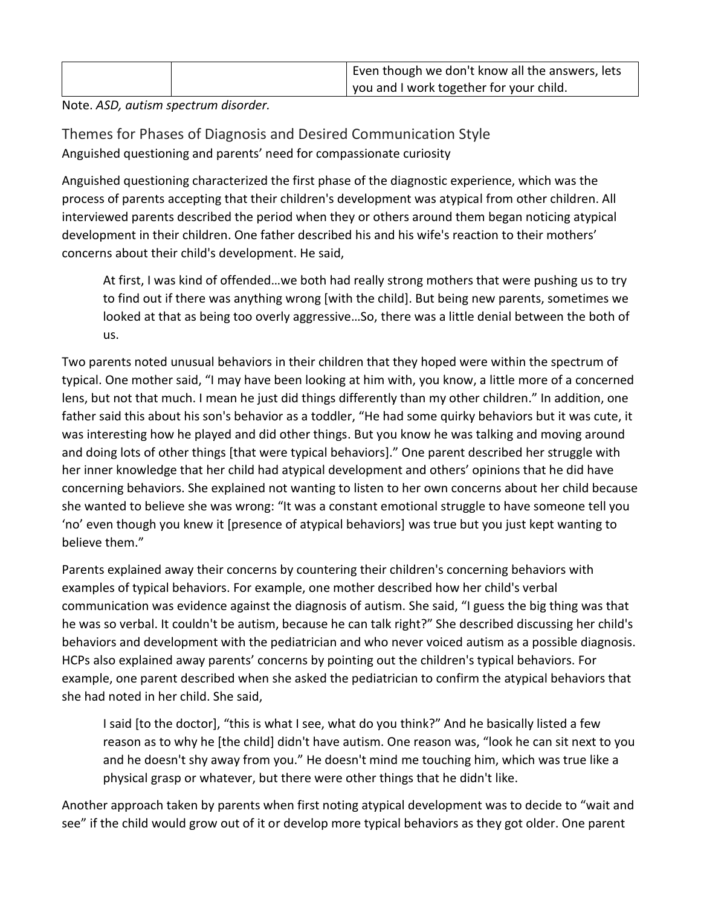| Even though we don't know all the answers, lets |
|-------------------------------------------------|
| you and I work together for your child.         |

Note. *ASD, autism spectrum disorder.*

Themes for Phases of Diagnosis and Desired Communication Style Anguished questioning and parents' need for compassionate curiosity

Anguished questioning characterized the first phase of the diagnostic experience, which was the process of parents accepting that their children's development was atypical from other children. All interviewed parents described the period when they or others around them began noticing atypical development in their children. One father described his and his wife's reaction to their mothers' concerns about their child's development. He said,

At first, I was kind of offended…we both had really strong mothers that were pushing us to try to find out if there was anything wrong [with the child]. But being new parents, sometimes we looked at that as being too overly aggressive…So, there was a little denial between the both of us.

Two parents noted unusual behaviors in their children that they hoped were within the spectrum of typical. One mother said, "I may have been looking at him with, you know, a little more of a concerned lens, but not that much. I mean he just did things differently than my other children." In addition, one father said this about his son's behavior as a toddler, "He had some quirky behaviors but it was cute, it was interesting how he played and did other things. But you know he was talking and moving around and doing lots of other things [that were typical behaviors]." One parent described her struggle with her inner knowledge that her child had atypical development and others' opinions that he did have concerning behaviors. She explained not wanting to listen to her own concerns about her child because she wanted to believe she was wrong: "It was a constant emotional struggle to have someone tell you 'no' even though you knew it [presence of atypical behaviors] was true but you just kept wanting to believe them."

Parents explained away their concerns by countering their children's concerning behaviors with examples of typical behaviors. For example, one mother described how her child's verbal communication was evidence against the diagnosis of autism. She said, "I guess the big thing was that he was so verbal. It couldn't be autism, because he can talk right?" She described discussing her child's behaviors and development with the pediatrician and who never voiced autism as a possible diagnosis. HCPs also explained away parents' concerns by pointing out the children's typical behaviors. For example, one parent described when she asked the pediatrician to confirm the atypical behaviors that she had noted in her child. She said,

I said [to the doctor], "this is what I see, what do you think?" And he basically listed a few reason as to why he [the child] didn't have autism. One reason was, "look he can sit next to you and he doesn't shy away from you." He doesn't mind me touching him, which was true like a physical grasp or whatever, but there were other things that he didn't like.

Another approach taken by parents when first noting atypical development was to decide to "wait and see" if the child would grow out of it or develop more typical behaviors as they got older. One parent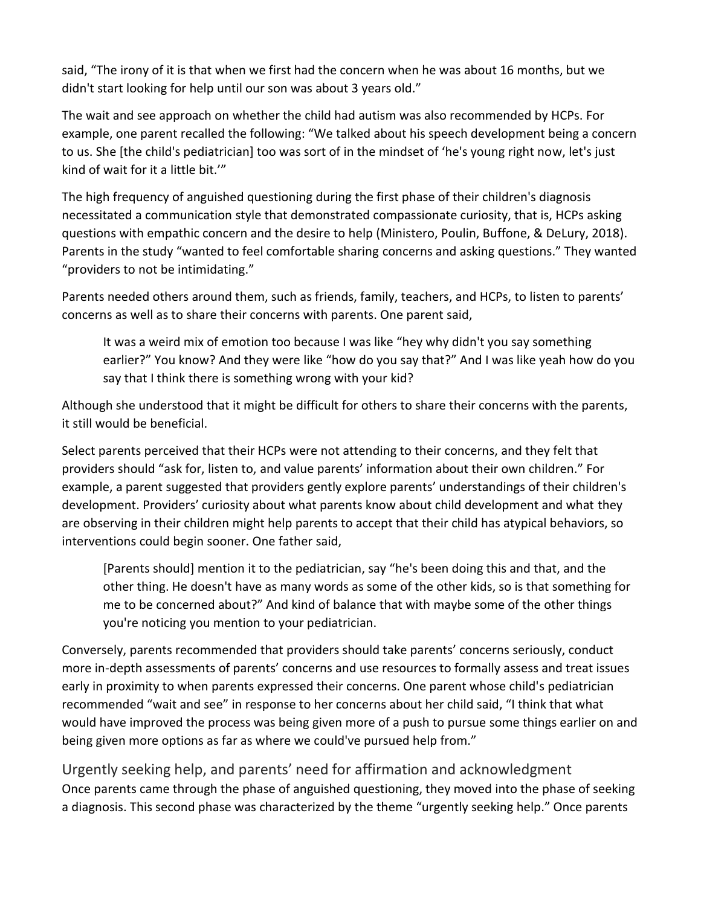said, "The irony of it is that when we first had the concern when he was about 16 months, but we didn't start looking for help until our son was about 3 years old."

The wait and see approach on whether the child had autism was also recommended by HCPs. For example, one parent recalled the following: "We talked about his speech development being a concern to us. She [the child's pediatrician] too was sort of in the mindset of 'he's young right now, let's just kind of wait for it a little bit.'"

The high frequency of anguished questioning during the first phase of their children's diagnosis necessitated a communication style that demonstrated compassionate curiosity, that is, HCPs asking questions with empathic concern and the desire to help (Ministero, Poulin, Buffone, & DeLury, 2018). Parents in the study "wanted to feel comfortable sharing concerns and asking questions." They wanted "providers to not be intimidating."

Parents needed others around them, such as friends, family, teachers, and HCPs, to listen to parents' concerns as well as to share their concerns with parents. One parent said,

It was a weird mix of emotion too because I was like "hey why didn't you say something earlier?" You know? And they were like "how do you say that?" And I was like yeah how do you say that I think there is something wrong with your kid?

Although she understood that it might be difficult for others to share their concerns with the parents, it still would be beneficial.

Select parents perceived that their HCPs were not attending to their concerns, and they felt that providers should "ask for, listen to, and value parents' information about their own children." For example, a parent suggested that providers gently explore parents' understandings of their children's development. Providers' curiosity about what parents know about child development and what they are observing in their children might help parents to accept that their child has atypical behaviors, so interventions could begin sooner. One father said,

[Parents should] mention it to the pediatrician, say "he's been doing this and that, and the other thing. He doesn't have as many words as some of the other kids, so is that something for me to be concerned about?" And kind of balance that with maybe some of the other things you're noticing you mention to your pediatrician.

Conversely, parents recommended that providers should take parents' concerns seriously, conduct more in-depth assessments of parents' concerns and use resources to formally assess and treat issues early in proximity to when parents expressed their concerns. One parent whose child's pediatrician recommended "wait and see" in response to her concerns about her child said, "I think that what would have improved the process was being given more of a push to pursue some things earlier on and being given more options as far as where we could've pursued help from."

Urgently seeking help, and parents' need for affirmation and acknowledgment Once parents came through the phase of anguished questioning, they moved into the phase of seeking a diagnosis. This second phase was characterized by the theme "urgently seeking help." Once parents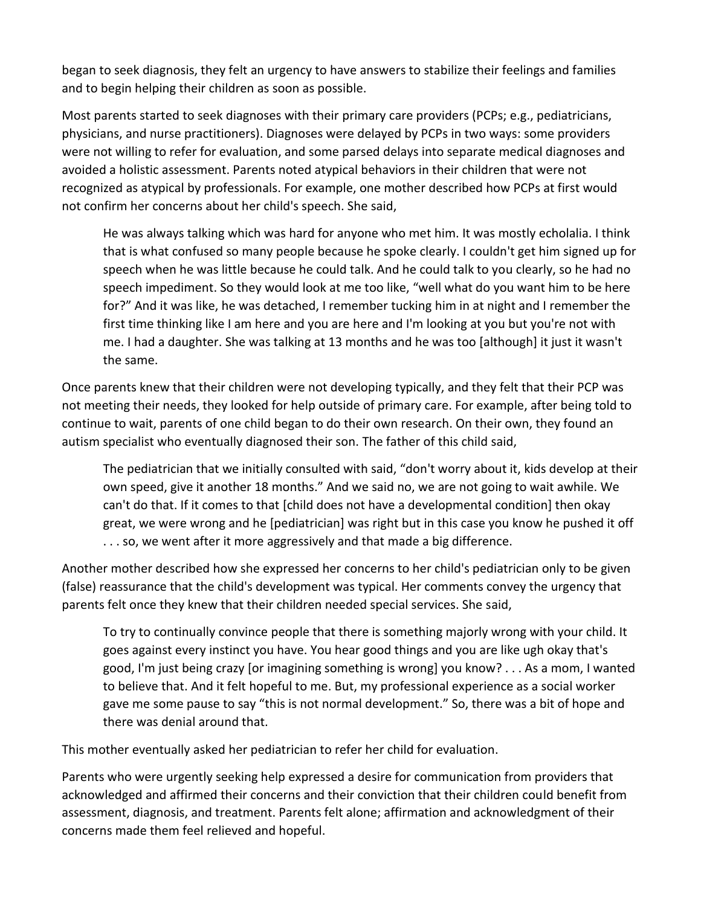began to seek diagnosis, they felt an urgency to have answers to stabilize their feelings and families and to begin helping their children as soon as possible.

Most parents started to seek diagnoses with their primary care providers (PCPs; e.g., pediatricians, physicians, and nurse practitioners). Diagnoses were delayed by PCPs in two ways: some providers were not willing to refer for evaluation, and some parsed delays into separate medical diagnoses and avoided a holistic assessment. Parents noted atypical behaviors in their children that were not recognized as atypical by professionals. For example, one mother described how PCPs at first would not confirm her concerns about her child's speech. She said,

He was always talking which was hard for anyone who met him. It was mostly echolalia. I think that is what confused so many people because he spoke clearly. I couldn't get him signed up for speech when he was little because he could talk. And he could talk to you clearly, so he had no speech impediment. So they would look at me too like, "well what do you want him to be here for?" And it was like, he was detached, I remember tucking him in at night and I remember the first time thinking like I am here and you are here and I'm looking at you but you're not with me. I had a daughter. She was talking at 13 months and he was too [although] it just it wasn't the same.

Once parents knew that their children were not developing typically, and they felt that their PCP was not meeting their needs, they looked for help outside of primary care. For example, after being told to continue to wait, parents of one child began to do their own research. On their own, they found an autism specialist who eventually diagnosed their son. The father of this child said,

The pediatrician that we initially consulted with said, "don't worry about it, kids develop at their own speed, give it another 18 months." And we said no, we are not going to wait awhile. We can't do that. If it comes to that [child does not have a developmental condition] then okay great, we were wrong and he [pediatrician] was right but in this case you know he pushed it off . . . so, we went after it more aggressively and that made a big difference.

Another mother described how she expressed her concerns to her child's pediatrician only to be given (false) reassurance that the child's development was typical. Her comments convey the urgency that parents felt once they knew that their children needed special services. She said,

To try to continually convince people that there is something majorly wrong with your child. It goes against every instinct you have. You hear good things and you are like ugh okay that's good, I'm just being crazy [or imagining something is wrong] you know? . . . As a mom, I wanted to believe that. And it felt hopeful to me. But, my professional experience as a social worker gave me some pause to say "this is not normal development." So, there was a bit of hope and there was denial around that.

This mother eventually asked her pediatrician to refer her child for evaluation.

Parents who were urgently seeking help expressed a desire for communication from providers that acknowledged and affirmed their concerns and their conviction that their children could benefit from assessment, diagnosis, and treatment. Parents felt alone; affirmation and acknowledgment of their concerns made them feel relieved and hopeful.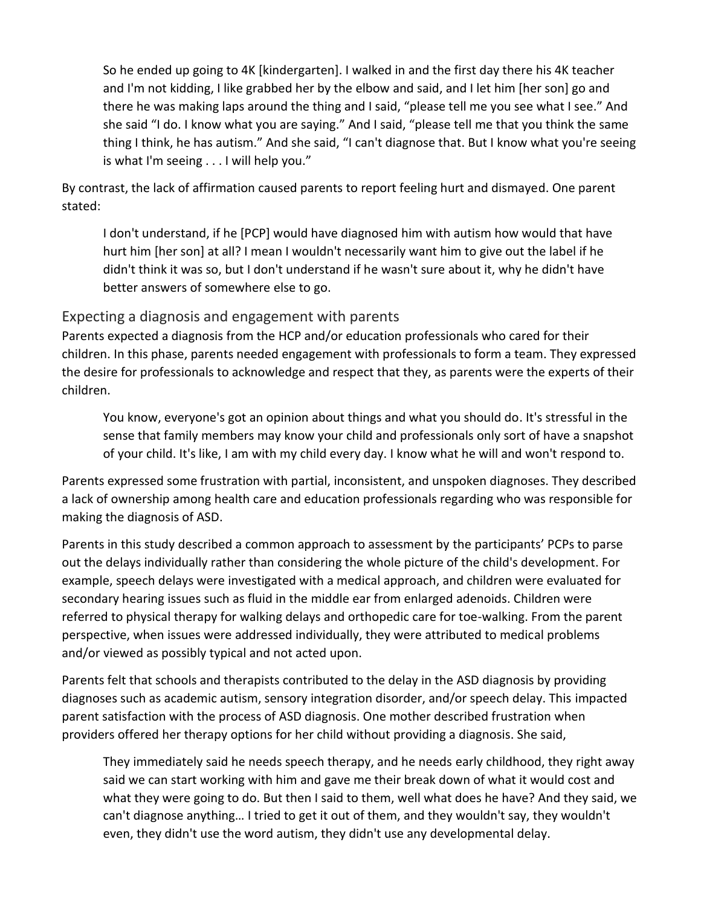So he ended up going to 4K [kindergarten]. I walked in and the first day there his 4K teacher and I'm not kidding, I like grabbed her by the elbow and said, and I let him [her son] go and there he was making laps around the thing and I said, "please tell me you see what I see." And she said "I do. I know what you are saying." And I said, "please tell me that you think the same thing I think, he has autism." And she said, "I can't diagnose that. But I know what you're seeing is what I'm seeing . . . I will help you."

By contrast, the lack of affirmation caused parents to report feeling hurt and dismayed. One parent stated:

I don't understand, if he [PCP] would have diagnosed him with autism how would that have hurt him [her son] at all? I mean I wouldn't necessarily want him to give out the label if he didn't think it was so, but I don't understand if he wasn't sure about it, why he didn't have better answers of somewhere else to go.

#### Expecting a diagnosis and engagement with parents

Parents expected a diagnosis from the HCP and/or education professionals who cared for their children. In this phase, parents needed engagement with professionals to form a team. They expressed the desire for professionals to acknowledge and respect that they, as parents were the experts of their children.

You know, everyone's got an opinion about things and what you should do. It's stressful in the sense that family members may know your child and professionals only sort of have a snapshot of your child. It's like, I am with my child every day. I know what he will and won't respond to.

Parents expressed some frustration with partial, inconsistent, and unspoken diagnoses. They described a lack of ownership among health care and education professionals regarding who was responsible for making the diagnosis of ASD.

Parents in this study described a common approach to assessment by the participants' PCPs to parse out the delays individually rather than considering the whole picture of the child's development. For example, speech delays were investigated with a medical approach, and children were evaluated for secondary hearing issues such as fluid in the middle ear from enlarged adenoids. Children were referred to physical therapy for walking delays and orthopedic care for toe-walking. From the parent perspective, when issues were addressed individually, they were attributed to medical problems and/or viewed as possibly typical and not acted upon.

Parents felt that schools and therapists contributed to the delay in the ASD diagnosis by providing diagnoses such as academic autism, sensory integration disorder, and/or speech delay. This impacted parent satisfaction with the process of ASD diagnosis. One mother described frustration when providers offered her therapy options for her child without providing a diagnosis. She said,

They immediately said he needs speech therapy, and he needs early childhood, they right away said we can start working with him and gave me their break down of what it would cost and what they were going to do. But then I said to them, well what does he have? And they said, we can't diagnose anything… I tried to get it out of them, and they wouldn't say, they wouldn't even, they didn't use the word autism, they didn't use any developmental delay.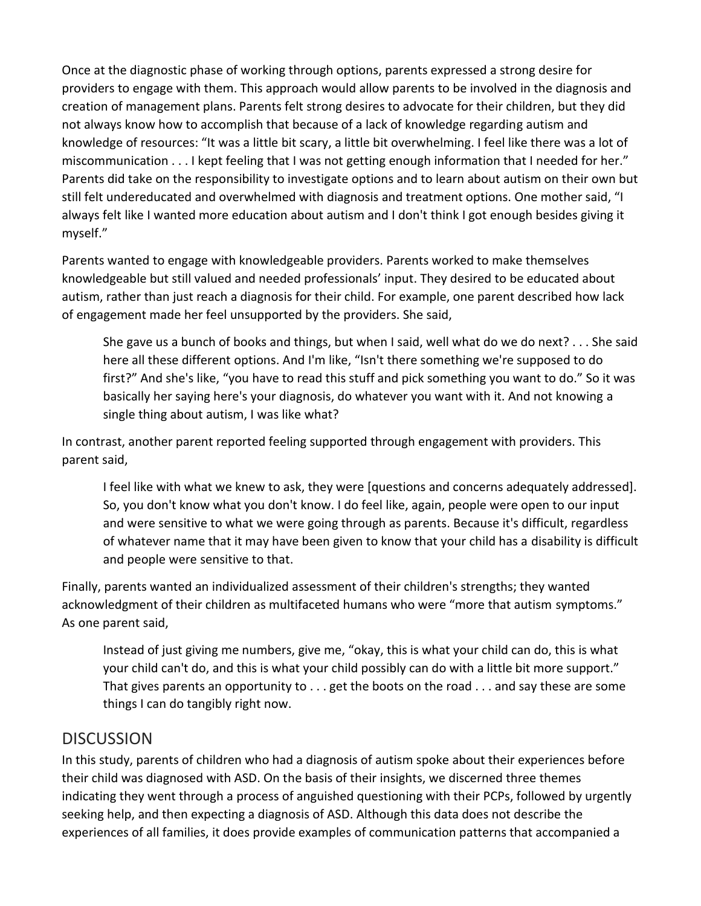Once at the diagnostic phase of working through options, parents expressed a strong desire for providers to engage with them. This approach would allow parents to be involved in the diagnosis and creation of management plans. Parents felt strong desires to advocate for their children, but they did not always know how to accomplish that because of a lack of knowledge regarding autism and knowledge of resources: "It was a little bit scary, a little bit overwhelming. I feel like there was a lot of miscommunication . . . I kept feeling that I was not getting enough information that I needed for her." Parents did take on the responsibility to investigate options and to learn about autism on their own but still felt undereducated and overwhelmed with diagnosis and treatment options. One mother said, "I always felt like I wanted more education about autism and I don't think I got enough besides giving it myself."

Parents wanted to engage with knowledgeable providers. Parents worked to make themselves knowledgeable but still valued and needed professionals' input. They desired to be educated about autism, rather than just reach a diagnosis for their child. For example, one parent described how lack of engagement made her feel unsupported by the providers. She said,

She gave us a bunch of books and things, but when I said, well what do we do next? . . . She said here all these different options. And I'm like, "Isn't there something we're supposed to do first?" And she's like, "you have to read this stuff and pick something you want to do." So it was basically her saying here's your diagnosis, do whatever you want with it. And not knowing a single thing about autism, I was like what?

In contrast, another parent reported feeling supported through engagement with providers. This parent said,

I feel like with what we knew to ask, they were [questions and concerns adequately addressed]. So, you don't know what you don't know. I do feel like, again, people were open to our input and were sensitive to what we were going through as parents. Because it's difficult, regardless of whatever name that it may have been given to know that your child has a disability is difficult and people were sensitive to that.

Finally, parents wanted an individualized assessment of their children's strengths; they wanted acknowledgment of their children as multifaceted humans who were "more that autism symptoms." As one parent said,

Instead of just giving me numbers, give me, "okay, this is what your child can do, this is what your child can't do, and this is what your child possibly can do with a little bit more support." That gives parents an opportunity to . . . get the boots on the road . . . and say these are some things I can do tangibly right now.

# **DISCUSSION**

In this study, parents of children who had a diagnosis of autism spoke about their experiences before their child was diagnosed with ASD. On the basis of their insights, we discerned three themes indicating they went through a process of anguished questioning with their PCPs, followed by urgently seeking help, and then expecting a diagnosis of ASD. Although this data does not describe the experiences of all families, it does provide examples of communication patterns that accompanied a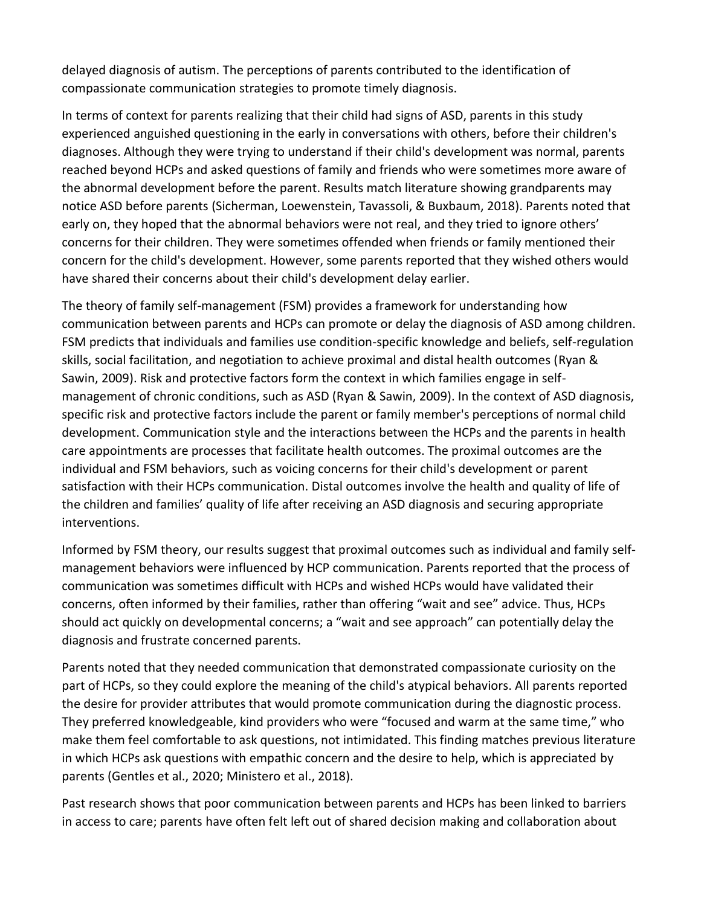delayed diagnosis of autism. The perceptions of parents contributed to the identification of compassionate communication strategies to promote timely diagnosis.

In terms of context for parents realizing that their child had signs of ASD, parents in this study experienced anguished questioning in the early in conversations with others, before their children's diagnoses. Although they were trying to understand if their child's development was normal, parents reached beyond HCPs and asked questions of family and friends who were sometimes more aware of the abnormal development before the parent. Results match literature showing grandparents may notice ASD before parents (Sicherman, Loewenstein, Tavassoli, & Buxbaum, 2018). Parents noted that early on, they hoped that the abnormal behaviors were not real, and they tried to ignore others' concerns for their children. They were sometimes offended when friends or family mentioned their concern for the child's development. However, some parents reported that they wished others would have shared their concerns about their child's development delay earlier.

The theory of family self-management (FSM) provides a framework for understanding how communication between parents and HCPs can promote or delay the diagnosis of ASD among children. FSM predicts that individuals and families use condition-specific knowledge and beliefs, self-regulation skills, social facilitation, and negotiation to achieve proximal and distal health outcomes (Ryan & Sawin, 2009). Risk and protective factors form the context in which families engage in selfmanagement of chronic conditions, such as ASD (Ryan & Sawin, 2009). In the context of ASD diagnosis, specific risk and protective factors include the parent or family member's perceptions of normal child development. Communication style and the interactions between the HCPs and the parents in health care appointments are processes that facilitate health outcomes. The proximal outcomes are the individual and FSM behaviors, such as voicing concerns for their child's development or parent satisfaction with their HCPs communication. Distal outcomes involve the health and quality of life of the children and families' quality of life after receiving an ASD diagnosis and securing appropriate interventions.

Informed by FSM theory, our results suggest that proximal outcomes such as individual and family selfmanagement behaviors were influenced by HCP communication. Parents reported that the process of communication was sometimes difficult with HCPs and wished HCPs would have validated their concerns, often informed by their families, rather than offering "wait and see" advice. Thus, HCPs should act quickly on developmental concerns; a "wait and see approach" can potentially delay the diagnosis and frustrate concerned parents.

Parents noted that they needed communication that demonstrated compassionate curiosity on the part of HCPs, so they could explore the meaning of the child's atypical behaviors. All parents reported the desire for provider attributes that would promote communication during the diagnostic process. They preferred knowledgeable, kind providers who were "focused and warm at the same time," who make them feel comfortable to ask questions, not intimidated. This finding matches previous literature in which HCPs ask questions with empathic concern and the desire to help, which is appreciated by parents (Gentles et al., 2020; Ministero et al., 2018).

Past research shows that poor communication between parents and HCPs has been linked to barriers in access to care; parents have often felt left out of shared decision making and collaboration about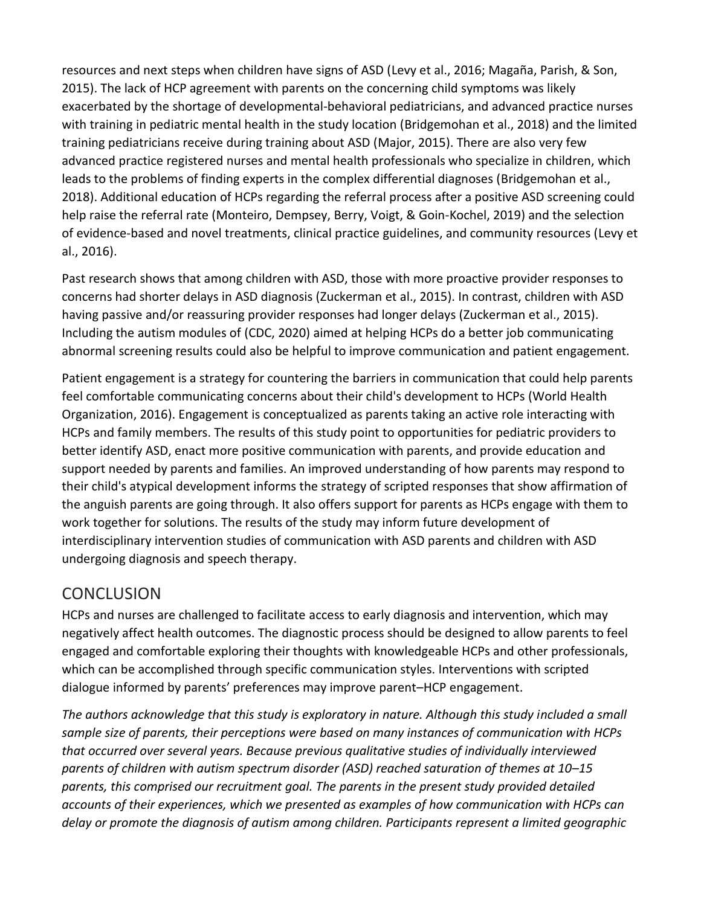resources and next steps when children have signs of ASD (Levy et al., 2016; Magaña, Parish, & Son, 2015). The lack of HCP agreement with parents on the concerning child symptoms was likely exacerbated by the shortage of developmental-behavioral pediatricians, and advanced practice nurses with training in pediatric mental health in the study location (Bridgemohan et al., 2018) and the limited training pediatricians receive during training about ASD (Major, 2015). There are also very few advanced practice registered nurses and mental health professionals who specialize in children, which leads to the problems of finding experts in the complex differential diagnoses (Bridgemohan et al., 2018). Additional education of HCPs regarding the referral process after a positive ASD screening could help raise the referral rate (Monteiro, Dempsey, Berry, Voigt, & Goin-Kochel, 2019) and the selection of evidence-based and novel treatments, clinical practice guidelines, and community resources (Levy et al., 2016).

Past research shows that among children with ASD, those with more proactive provider responses to concerns had shorter delays in ASD diagnosis (Zuckerman et al., 2015). In contrast, children with ASD having passive and/or reassuring provider responses had longer delays (Zuckerman et al., 2015). Including the autism modules of (CDC, 2020) aimed at helping HCPs do a better job communicating abnormal screening results could also be helpful to improve communication and patient engagement.

Patient engagement is a strategy for countering the barriers in communication that could help parents feel comfortable communicating concerns about their child's development to HCPs (World Health Organization, 2016). Engagement is conceptualized as parents taking an active role interacting with HCPs and family members. The results of this study point to opportunities for pediatric providers to better identify ASD, enact more positive communication with parents, and provide education and support needed by parents and families. An improved understanding of how parents may respond to their child's atypical development informs the strategy of scripted responses that show affirmation of the anguish parents are going through. It also offers support for parents as HCPs engage with them to work together for solutions. The results of the study may inform future development of interdisciplinary intervention studies of communication with ASD parents and children with ASD undergoing diagnosis and speech therapy.

# **CONCLUSION**

HCPs and nurses are challenged to facilitate access to early diagnosis and intervention, which may negatively affect health outcomes. The diagnostic process should be designed to allow parents to feel engaged and comfortable exploring their thoughts with knowledgeable HCPs and other professionals, which can be accomplished through specific communication styles. Interventions with scripted dialogue informed by parents' preferences may improve parent–HCP engagement.

*The authors acknowledge that this study is exploratory in nature. Although this study included a small sample size of parents, their perceptions were based on many instances of communication with HCPs that occurred over several years. Because previous qualitative studies of individually interviewed parents of children with autism spectrum disorder (ASD) reached saturation of themes at 10–15 parents, this comprised our recruitment goal. The parents in the present study provided detailed accounts of their experiences, which we presented as examples of how communication with HCPs can delay or promote the diagnosis of autism among children. Participants represent a limited geographic*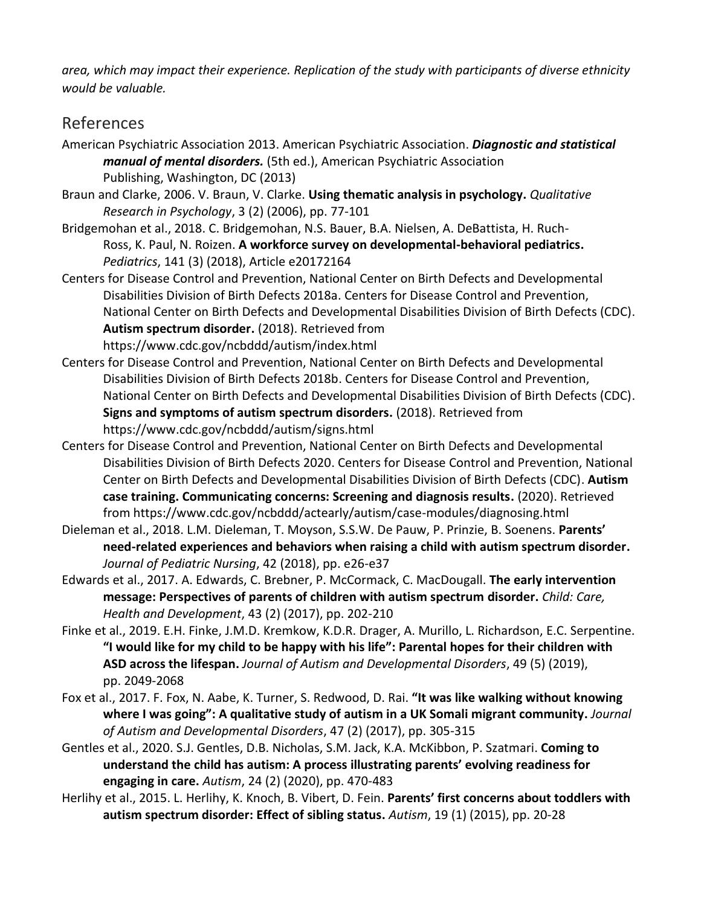*area, which may impact their experience. Replication of the study with participants of diverse ethnicity would be valuable.*

# References

- American Psychiatric Association 2013. American Psychiatric Association. *Diagnostic and statistical manual of mental disorders.* (5th ed.), American Psychiatric Association Publishing, Washington, DC (2013)
- Braun and Clarke, 2006. V. Braun, V. Clarke. **Using thematic analysis in psychology.** *Qualitative Research in Psychology*, 3 (2) (2006), pp. 77-101
- Bridgemohan et al., 2018. C. Bridgemohan, N.S. Bauer, B.A. Nielsen, A. DeBattista, H. Ruch-Ross, K. Paul, N. Roizen. **A workforce survey on developmental-behavioral pediatrics.**  *Pediatrics*, 141 (3) (2018), Article e20172164
- Centers for Disease Control and Prevention, National Center on Birth Defects and Developmental Disabilities Division of Birth Defects 2018a. Centers for Disease Control and Prevention, National Center on Birth Defects and Developmental Disabilities Division of Birth Defects (CDC). **Autism spectrum disorder.** (2018). Retrieved from https://www.cdc.gov/ncbddd/autism/index.html
- Centers for Disease Control and Prevention, National Center on Birth Defects and Developmental Disabilities Division of Birth Defects 2018b. Centers for Disease Control and Prevention, National Center on Birth Defects and Developmental Disabilities Division of Birth Defects (CDC). **Signs and symptoms of autism spectrum disorders.** (2018). Retrieved from https://www.cdc.gov/ncbddd/autism/signs.html
- Centers for Disease Control and Prevention, National Center on Birth Defects and Developmental Disabilities Division of Birth Defects 2020. Centers for Disease Control and Prevention, National Center on Birth Defects and Developmental Disabilities Division of Birth Defects (CDC). **Autism case training. Communicating concerns: Screening and diagnosis results.** (2020). Retrieved from https://www.cdc.gov/ncbddd/actearly/autism/case-modules/diagnosing.html
- Dieleman et al., 2018. L.M. Dieleman, T. Moyson, S.S.W. De Pauw, P. Prinzie, B. Soenens. **Parents' need-related experiences and behaviors when raising a child with autism spectrum disorder.**  *Journal of Pediatric Nursing*, 42 (2018), pp. e26-e37
- Edwards et al., 2017. A. Edwards, C. Brebner, P. McCormack, C. MacDougall. **The early intervention message: Perspectives of parents of children with autism spectrum disorder.** *Child: Care, Health and Development*, 43 (2) (2017), pp. 202-210
- Finke et al., 2019. E.H. Finke, J.M.D. Kremkow, K.D.R. Drager, A. Murillo, L. Richardson, E.C. Serpentine. **"I would like for my child to be happy with his life": Parental hopes for their children with ASD across the lifespan.** *Journal of Autism and Developmental Disorders*, 49 (5) (2019), pp. 2049-2068
- Fox et al., 2017. F. Fox, N. Aabe, K. Turner, S. Redwood, D. Rai. **"It was like walking without knowing where I was going": A qualitative study of autism in a UK Somali migrant community.** *Journal of Autism and Developmental Disorders*, 47 (2) (2017), pp. 305-315
- Gentles et al., 2020. S.J. Gentles, D.B. Nicholas, S.M. Jack, K.A. McKibbon, P. Szatmari. **Coming to understand the child has autism: A process illustrating parents' evolving readiness for engaging in care.** *Autism*, 24 (2) (2020), pp. 470-483
- Herlihy et al., 2015. L. Herlihy, K. Knoch, B. Vibert, D. Fein. **Parents' first concerns about toddlers with autism spectrum disorder: Effect of sibling status.** *Autism*, 19 (1) (2015), pp. 20-28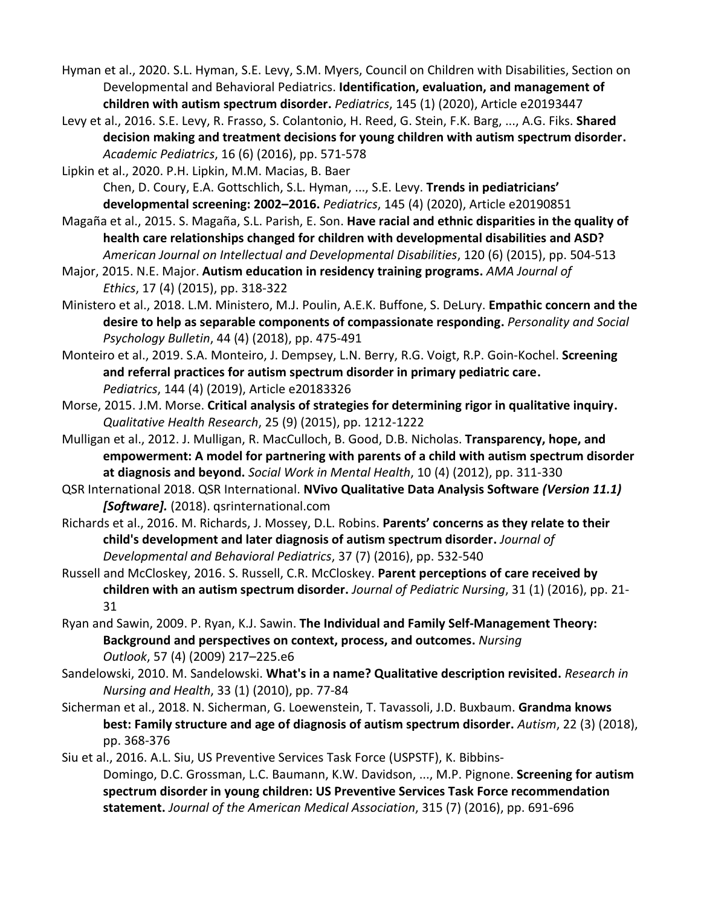- Hyman et al., 2020. S.L. Hyman, S.E. Levy, S.M. Myers, Council on Children with Disabilities, Section on Developmental and Behavioral Pediatrics. **Identification, evaluation, and management of children with autism spectrum disorder.** *Pediatrics*, 145 (1) (2020), Article e20193447
- Levy et al., 2016. S.E. Levy, R. Frasso, S. Colantonio, H. Reed, G. Stein, F.K. Barg, ..., A.G. Fiks. **Shared decision making and treatment decisions for young children with autism spectrum disorder.**  *Academic Pediatrics*, 16 (6) (2016), pp. 571-578

Lipkin et al., 2020. P.H. Lipkin, M.M. Macias, B. Baer Chen, D. Coury, E.A. Gottschlich, S.L. Hyman, ..., S.E. Levy. **Trends in pediatricians' developmental screening: 2002–2016.** *Pediatrics*, 145 (4) (2020), Article e20190851

- Magaña et al., 2015. S. Magaña, S.L. Parish, E. Son. **Have racial and ethnic disparities in the quality of health care relationships changed for children with developmental disabilities and ASD?** *American Journal on Intellectual and Developmental Disabilities*, 120 (6) (2015), pp. 504-513
- Major, 2015. N.E. Major. **Autism education in residency training programs.** *AMA Journal of Ethics*, 17 (4) (2015), pp. 318-322
- Ministero et al., 2018. L.M. Ministero, M.J. Poulin, A.E.K. Buffone, S. DeLury. **Empathic concern and the desire to help as separable components of compassionate responding.** *Personality and Social Psychology Bulletin*, 44 (4) (2018), pp. 475-491
- Monteiro et al., 2019. S.A. Monteiro, J. Dempsey, L.N. Berry, R.G. Voigt, R.P. Goin-Kochel. **Screening and referral practices for autism spectrum disorder in primary pediatric care.**  *Pediatrics*, 144 (4) (2019), Article e20183326
- Morse, 2015. J.M. Morse. **Critical analysis of strategies for determining rigor in qualitative inquiry.**  *Qualitative Health Research*, 25 (9) (2015), pp. 1212-1222
- Mulligan et al., 2012. J. Mulligan, R. MacCulloch, B. Good, D.B. Nicholas. **Transparency, hope, and empowerment: A model for partnering with parents of a child with autism spectrum disorder at diagnosis and beyond.** *Social Work in Mental Health*, 10 (4) (2012), pp. 311-330
- QSR International 2018. QSR International. **NVivo Qualitative Data Analysis Software** *(Version 11.1) [Software].* (2018). qsrinternational.com
- Richards et al., 2016. M. Richards, J. Mossey, D.L. Robins. **Parents' concerns as they relate to their child's development and later diagnosis of autism spectrum disorder.** *Journal of Developmental and Behavioral Pediatrics*, 37 (7) (2016), pp. 532-540
- Russell and McCloskey, 2016. S. Russell, C.R. McCloskey. **Parent perceptions of care received by children with an autism spectrum disorder.** *Journal of Pediatric Nursing*, 31 (1) (2016), pp. 21- 31
- Ryan and Sawin, 2009. P. Ryan, K.J. Sawin. **The Individual and Family Self-Management Theory: Background and perspectives on context, process, and outcomes.** *Nursing Outlook*, 57 (4) (2009) 217–225.e6
- Sandelowski, 2010. M. Sandelowski. **What's in a name? Qualitative description revisited.** *Research in Nursing and Health*, 33 (1) (2010), pp. 77-84
- Sicherman et al., 2018. N. Sicherman, G. Loewenstein, T. Tavassoli, J.D. Buxbaum. **Grandma knows best: Family structure and age of diagnosis of autism spectrum disorder.** *Autism*, 22 (3) (2018), pp. 368-376
- Siu et al., 2016. A.L. Siu, US Preventive Services Task Force (USPSTF), K. Bibbins-Domingo, D.C. Grossman, L.C. Baumann, K.W. Davidson, ..., M.P. Pignone. **Screening for autism spectrum disorder in young children: US Preventive Services Task Force recommendation statement.** *Journal of the American Medical Association*, 315 (7) (2016), pp. 691-696